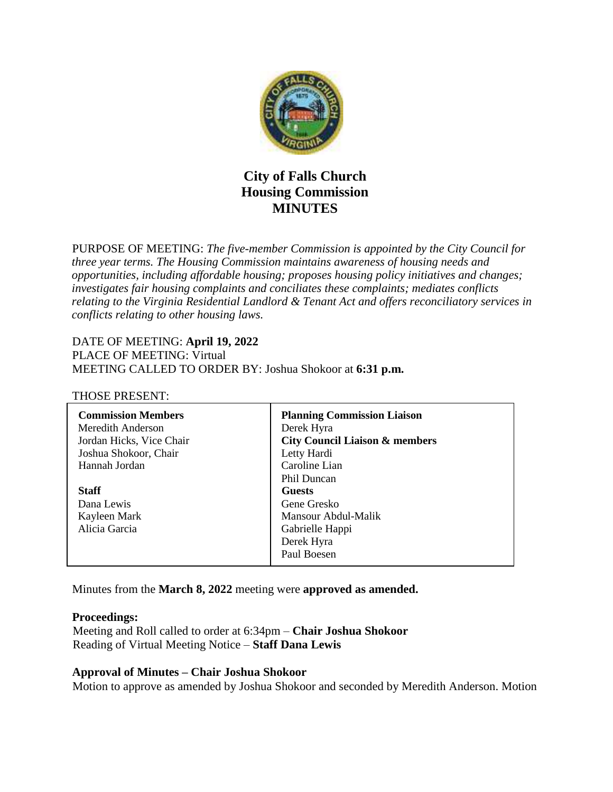

# **City of Falls Church Housing Commission MINUTES**

PURPOSE OF MEETING: *The five-member Commission is appointed by the City Council for three year terms. The Housing Commission maintains awareness of housing needs and opportunities, including affordable housing; proposes housing policy initiatives and changes; investigates fair housing complaints and conciliates these complaints; mediates conflicts relating to the Virginia Residential Landlord & Tenant Act and offers reconciliatory services in conflicts relating to other housing laws.* 

# DATE OF MEETING: **April 19, 2022**

PLACE OF MEETING: Virtual MEETING CALLED TO ORDER BY: Joshua Shokoor at **6:31 p.m.**

#### THOSE PRESENT:

| <b>Commission Members</b> | <b>Planning Commission Liaison</b>        |
|---------------------------|-------------------------------------------|
| Meredith Anderson         | Derek Hyra                                |
| Jordan Hicks, Vice Chair  | <b>City Council Liaison &amp; members</b> |
| Joshua Shokoor, Chair     | Letty Hardi                               |
| Hannah Jordan             | Caroline Lian                             |
|                           | Phil Duncan                               |
| <b>Staff</b>              | Guests                                    |
| Dana Lewis                | Gene Gresko                               |
| Kayleen Mark              | Mansour Abdul-Malik                       |
| Alicia Garcia             | Gabrielle Happi                           |
|                           | Derek Hyra                                |
|                           | Paul Boesen                               |
|                           |                                           |

Minutes from the **March 8, 2022** meeting were **approved as amended.**

#### **Proceedings:**

 Meeting and Roll called to order at 6:34pm – **Chair Joshua Shokoor** Reading of Virtual Meeting Notice – **Staff Dana Lewis**

#### **Approval of Minutes – Chair Joshua Shokoor**

Motion to approve as amended by Joshua Shokoor and seconded by Meredith Anderson. Motion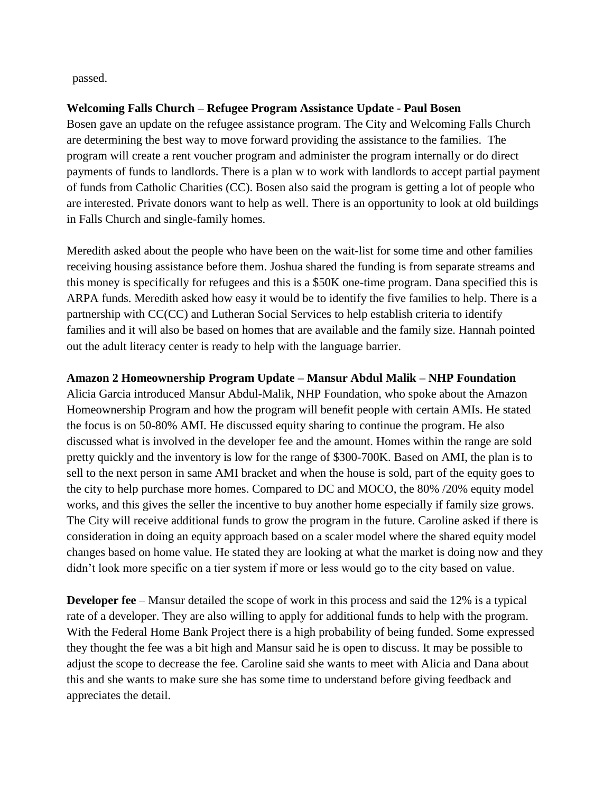passed.

#### **Welcoming Falls Church – Refugee Program Assistance Update - Paul Bosen**

Bosen gave an update on the refugee assistance program. The City and Welcoming Falls Church are determining the best way to move forward providing the assistance to the families. The program will create a rent voucher program and administer the program internally or do direct payments of funds to landlords. There is a plan w to work with landlords to accept partial payment of funds from Catholic Charities (CC). Bosen also said the program is getting a lot of people who are interested. Private donors want to help as well. There is an opportunity to look at old buildings in Falls Church and single-family homes.

Meredith asked about the people who have been on the wait-list for some time and other families receiving housing assistance before them. Joshua shared the funding is from separate streams and this money is specifically for refugees and this is a \$50K one-time program. Dana specified this is ARPA funds. Meredith asked how easy it would be to identify the five families to help. There is a partnership with CC(CC) and Lutheran Social Services to help establish criteria to identify families and it will also be based on homes that are available and the family size. Hannah pointed out the adult literacy center is ready to help with the language barrier.

#### **Amazon 2 Homeownership Program Update – Mansur Abdul Malik – NHP Foundation**

Alicia Garcia introduced Mansur Abdul-Malik, NHP Foundation, who spoke about the Amazon Homeownership Program and how the program will benefit people with certain AMIs. He stated the focus is on 50-80% AMI. He discussed equity sharing to continue the program. He also discussed what is involved in the developer fee and the amount. Homes within the range are sold pretty quickly and the inventory is low for the range of \$300-700K. Based on AMI, the plan is to sell to the next person in same AMI bracket and when the house is sold, part of the equity goes to the city to help purchase more homes. Compared to DC and MOCO, the 80% /20% equity model works, and this gives the seller the incentive to buy another home especially if family size grows. The City will receive additional funds to grow the program in the future. Caroline asked if there is consideration in doing an equity approach based on a scaler model where the shared equity model changes based on home value. He stated they are looking at what the market is doing now and they didn't look more specific on a tier system if more or less would go to the city based on value.

**Developer fee** – Mansur detailed the scope of work in this process and said the 12% is a typical rate of a developer. They are also willing to apply for additional funds to help with the program. With the Federal Home Bank Project there is a high probability of being funded. Some expressed they thought the fee was a bit high and Mansur said he is open to discuss. It may be possible to adjust the scope to decrease the fee. Caroline said she wants to meet with Alicia and Dana about this and she wants to make sure she has some time to understand before giving feedback and appreciates the detail.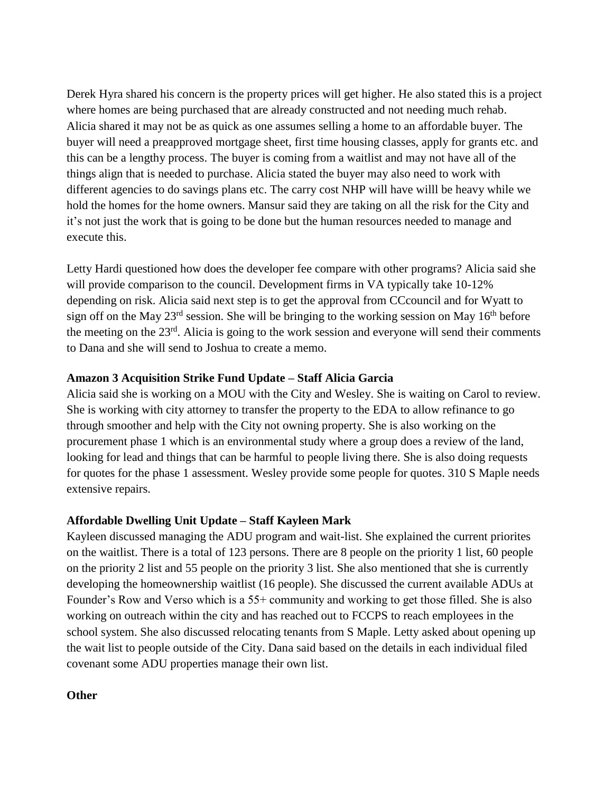Derek Hyra shared his concern is the property prices will get higher. He also stated this is a project where homes are being purchased that are already constructed and not needing much rehab. Alicia shared it may not be as quick as one assumes selling a home to an affordable buyer. The buyer will need a preapproved mortgage sheet, first time housing classes, apply for grants etc. and this can be a lengthy process. The buyer is coming from a waitlist and may not have all of the things align that is needed to purchase. Alicia stated the buyer may also need to work with different agencies to do savings plans etc. The carry cost NHP will have willl be heavy while we hold the homes for the home owners. Mansur said they are taking on all the risk for the City and it's not just the work that is going to be done but the human resources needed to manage and execute this.

Letty Hardi questioned how does the developer fee compare with other programs? Alicia said she will provide comparison to the council. Development firms in VA typically take 10-12% depending on risk. Alicia said next step is to get the approval from CCcouncil and for Wyatt to sign off on the May  $23^{rd}$  session. She will be bringing to the working session on May  $16^{th}$  before the meeting on the 23<sup>rd</sup>. Alicia is going to the work session and everyone will send their comments to Dana and she will send to Joshua to create a memo.

#### **Amazon 3 Acquisition Strike Fund Update – Staff Alicia Garcia**

Alicia said she is working on a MOU with the City and Wesley. She is waiting on Carol to review. She is working with city attorney to transfer the property to the EDA to allow refinance to go through smoother and help with the City not owning property. She is also working on the procurement phase 1 which is an environmental study where a group does a review of the land, looking for lead and things that can be harmful to people living there. She is also doing requests for quotes for the phase 1 assessment. Wesley provide some people for quotes. 310 S Maple needs extensive repairs.

## **Affordable Dwelling Unit Update – Staff Kayleen Mark**

Kayleen discussed managing the ADU program and wait-list. She explained the current priorites on the waitlist. There is a total of 123 persons. There are 8 people on the priority 1 list, 60 people on the priority 2 list and 55 people on the priority 3 list. She also mentioned that she is currently developing the homeownership waitlist (16 people). She discussed the current available ADUs at Founder's Row and Verso which is a 55+ community and working to get those filled. She is also working on outreach within the city and has reached out to FCCPS to reach employees in the school system. She also discussed relocating tenants from S Maple. Letty asked about opening up the wait list to people outside of the City. Dana said based on the details in each individual filed covenant some ADU properties manage their own list.

#### **Other**